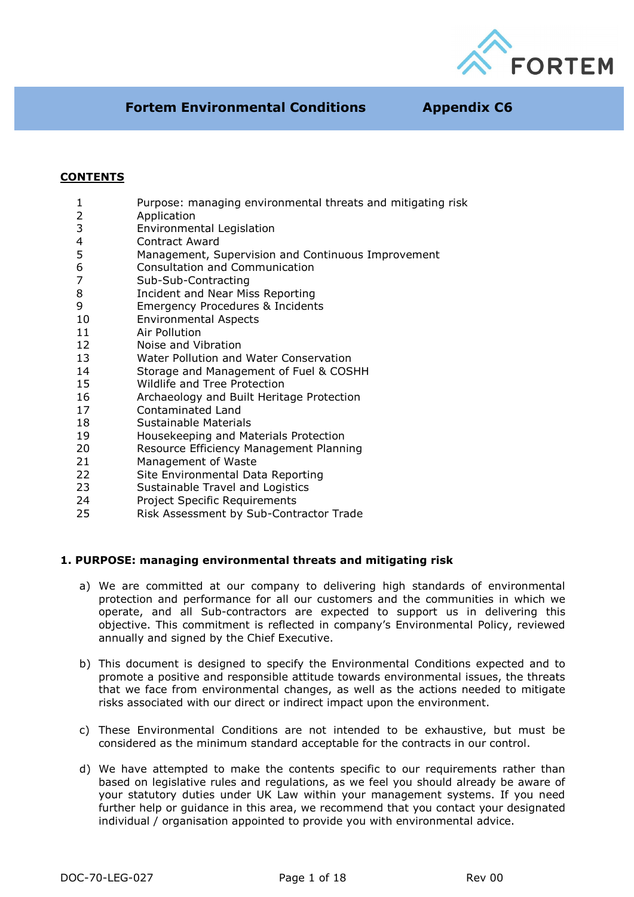

## **CONTENTS**

- 1 Purpose: managing environmental threats and mitigating risk
- 2 Application
- 3 Environmental Legislation<br>4 Contract Award
- 4 Contract Award<br>5 Management, S
- Management, Supervision and Continuous Improvement
- 6 Consultation and Communication
- 7 Sub-Sub-Contracting
- 8 Incident and Near Miss Reporting
- 9 Emergency Procedures & Incidents
- 10 Environmental Aspects
- 11 Air Pollution
- 12 Noise and Vibration
- 13 Water Pollution and Water Conservation
- 14 Storage and Management of Fuel & COSHH
- 15 Wildlife and Tree Protection
- 16 Archaeology and Built Heritage Protection
- 17 Contaminated Land
- 18 Sustainable Materials
- 19 Housekeeping and Materials Protection
- 20 Resource Efficiency Management Planning
- 21 Management of Waste<br>22 Site Environmental Date
- Site Environmental Data Reporting
- 23 Sustainable Travel and Logistics
- 24 Project Specific Requirements
- 25 Risk Assessment by Sub-Contractor Trade

#### **1. PURPOSE: managing environmental threats and mitigating risk**

- a) We are committed at our company to delivering high standards of environmental protection and performance for all our customers and the communities in which we operate, and all Sub-contractors are expected to support us in delivering this objective. This commitment is reflected in company's Environmental Policy, reviewed annually and signed by the Chief Executive.
- b) This document is designed to specify the Environmental Conditions expected and to promote a positive and responsible attitude towards environmental issues, the threats that we face from environmental changes, as well as the actions needed to mitigate risks associated with our direct or indirect impact upon the environment.
- c) These Environmental Conditions are not intended to be exhaustive, but must be considered as the minimum standard acceptable for the contracts in our control.
- d) We have attempted to make the contents specific to our requirements rather than based on legislative rules and regulations, as we feel you should already be aware of your statutory duties under UK Law within your management systems. If you need further help or guidance in this area, we recommend that you contact your designated individual / organisation appointed to provide you with environmental advice.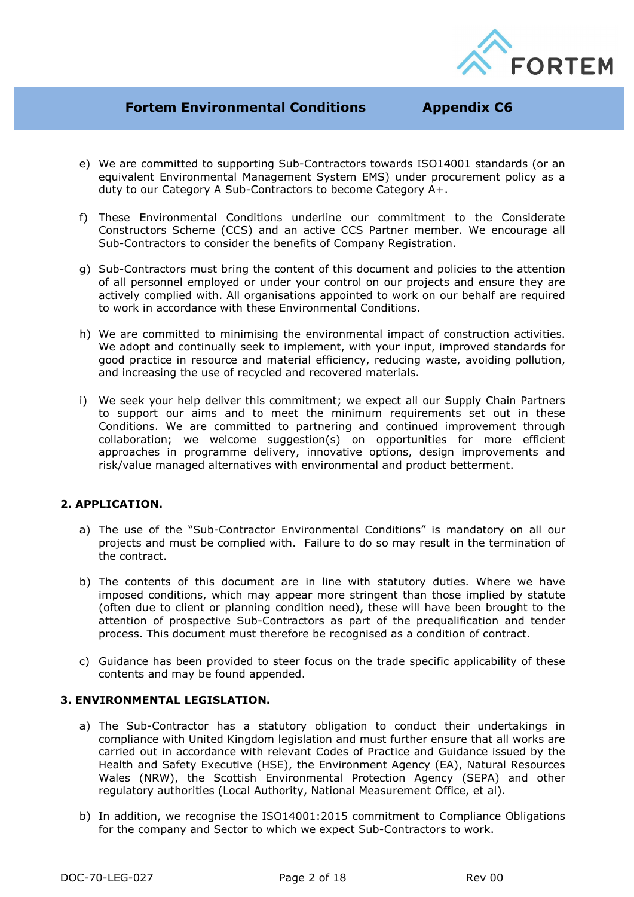

- e) We are committed to supporting Sub-Contractors towards ISO14001 standards (or an equivalent Environmental Management System EMS) under procurement policy as a duty to our Category A Sub-Contractors to become Category A+.
- f) These Environmental Conditions underline our commitment to the Considerate Constructors Scheme (CCS) and an active CCS Partner member. We encourage all Sub-Contractors to consider the benefits of Company Registration.
- g) Sub-Contractors must bring the content of this document and policies to the attention of all personnel employed or under your control on our projects and ensure they are actively complied with. All organisations appointed to work on our behalf are required to work in accordance with these Environmental Conditions.
- h) We are committed to minimising the environmental impact of construction activities. We adopt and continually seek to implement, with your input, improved standards for good practice in resource and material efficiency, reducing waste, avoiding pollution, and increasing the use of recycled and recovered materials.
- i) We seek your help deliver this commitment; we expect all our Supply Chain Partners to support our aims and to meet the minimum requirements set out in these Conditions. We are committed to partnering and continued improvement through collaboration; we welcome suggestion(s) on opportunities for more efficient approaches in programme delivery, innovative options, design improvements and risk/value managed alternatives with environmental and product betterment.

### **2. APPLICATION.**

- a) The use of the "Sub-Contractor Environmental Conditions" is mandatory on all our projects and must be complied with. Failure to do so may result in the termination of the contract.
- b) The contents of this document are in line with statutory duties. Where we have imposed conditions, which may appear more stringent than those implied by statute (often due to client or planning condition need), these will have been brought to the attention of prospective Sub-Contractors as part of the prequalification and tender process. This document must therefore be recognised as a condition of contract.
- c) Guidance has been provided to steer focus on the trade specific applicability of these contents and may be found appended.

#### **3. ENVIRONMENTAL LEGISLATION.**

- a) The Sub-Contractor has a statutory obligation to conduct their undertakings in compliance with United Kingdom legislation and must further ensure that all works are carried out in accordance with relevant Codes of Practice and Guidance issued by the Health and Safety Executive (HSE), the Environment Agency (EA), Natural Resources Wales (NRW), the Scottish Environmental Protection Agency (SEPA) and other regulatory authorities (Local Authority, National Measurement Office, et al).
- b) In addition, we recognise the ISO14001:2015 commitment to Compliance Obligations for the company and Sector to which we expect Sub-Contractors to work.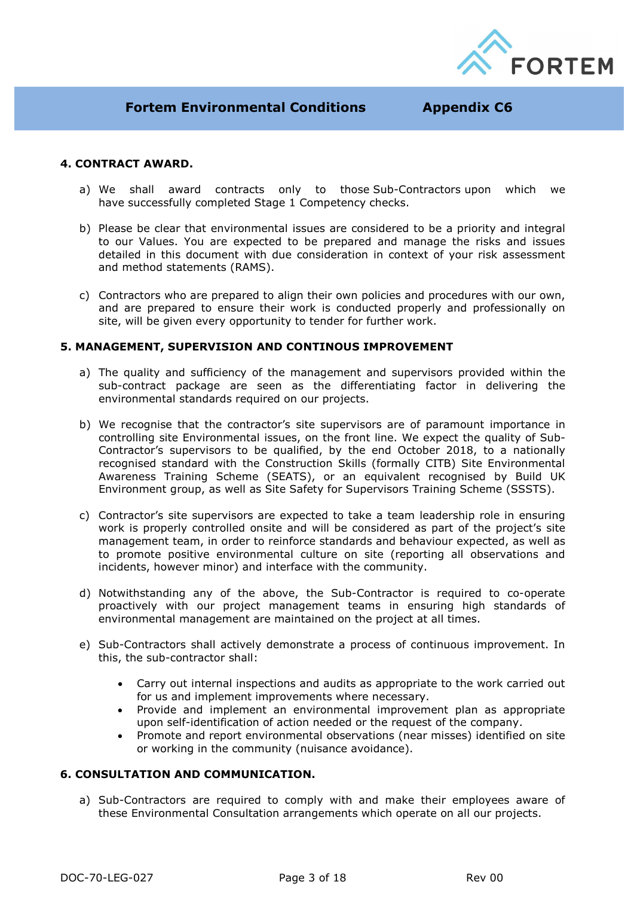

#### **4. CONTRACT AWARD.**

- a) We shall award contracts only to those Sub-Contractors upon which we have successfully completed Stage 1 Competency checks.
- b) Please be clear that environmental issues are considered to be a priority and integral to our Values. You are expected to be prepared and manage the risks and issues detailed in this document with due consideration in context of your risk assessment and method statements (RAMS).
- c) Contractors who are prepared to align their own policies and procedures with our own, and are prepared to ensure their work is conducted properly and professionally on site, will be given every opportunity to tender for further work.

### **5. MANAGEMENT, SUPERVISION AND CONTINOUS IMPROVEMENT**

- a) The quality and sufficiency of the management and supervisors provided within the sub-contract package are seen as the differentiating factor in delivering the environmental standards required on our projects.
- b) We recognise that the contractor's site supervisors are of paramount importance in controlling site Environmental issues, on the front line. We expect the quality of Sub-Contractor's supervisors to be qualified, by the end October 2018, to a nationally recognised standard with the Construction Skills (formally CITB) Site Environmental Awareness Training Scheme (SEATS), or an equivalent recognised by Build UK Environment group, as well as Site Safety for Supervisors Training Scheme (SSSTS).
- c) Contractor's site supervisors are expected to take a team leadership role in ensuring work is properly controlled onsite and will be considered as part of the project's site management team, in order to reinforce standards and behaviour expected, as well as to promote positive environmental culture on site (reporting all observations and incidents, however minor) and interface with the community.
- d) Notwithstanding any of the above, the Sub-Contractor is required to co-operate proactively with our project management teams in ensuring high standards of environmental management are maintained on the project at all times.
- e) Sub-Contractors shall actively demonstrate a process of continuous improvement. In this, the sub-contractor shall:
	- Carry out internal inspections and audits as appropriate to the work carried out for us and implement improvements where necessary.
	- Provide and implement an environmental improvement plan as appropriate upon self-identification of action needed or the request of the company.
	- Promote and report environmental observations (near misses) identified on site or working in the community (nuisance avoidance).

#### **6. CONSULTATION AND COMMUNICATION.**

a) Sub-Contractors are required to comply with and make their employees aware of these Environmental Consultation arrangements which operate on all our projects.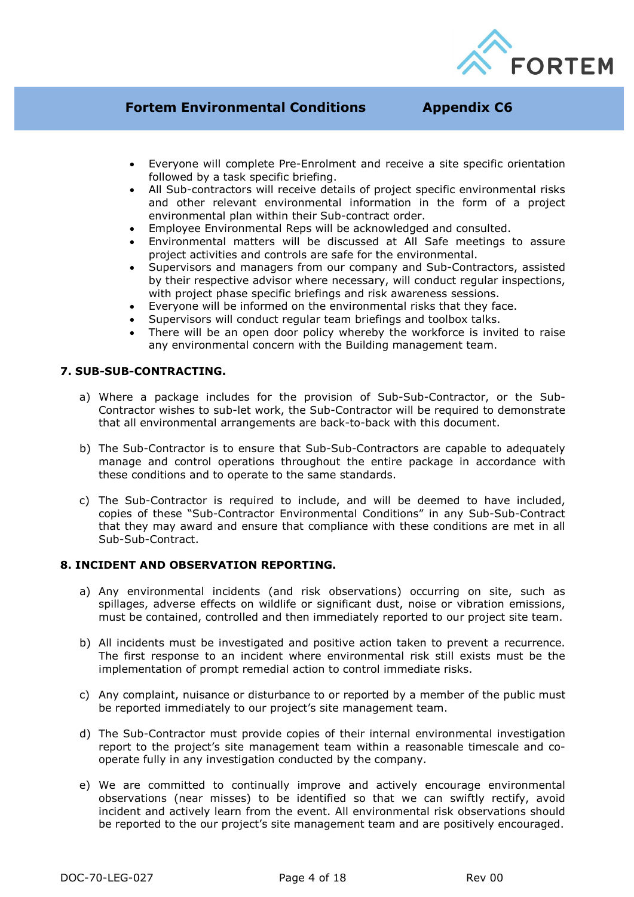

- Everyone will complete Pre-Enrolment and receive a site specific orientation followed by a task specific briefing.
- All Sub-contractors will receive details of project specific environmental risks and other relevant environmental information in the form of a project environmental plan within their Sub-contract order.
- Employee Environmental Reps will be acknowledged and consulted.
- Environmental matters will be discussed at All Safe meetings to assure project activities and controls are safe for the environmental.
- Supervisors and managers from our company and Sub-Contractors, assisted by their respective advisor where necessary, will conduct regular inspections, with project phase specific briefings and risk awareness sessions.
- Everyone will be informed on the environmental risks that they face.
- Supervisors will conduct regular team briefings and toolbox talks.
- There will be an open door policy whereby the workforce is invited to raise any environmental concern with the Building management team.

#### **7. SUB-SUB-CONTRACTING.**

- a) Where a package includes for the provision of Sub-Sub-Contractor, or the Sub-Contractor wishes to sub-let work, the Sub-Contractor will be required to demonstrate that all environmental arrangements are back-to-back with this document.
- b) The Sub-Contractor is to ensure that Sub-Sub-Contractors are capable to adequately manage and control operations throughout the entire package in accordance with these conditions and to operate to the same standards.
- c) The Sub-Contractor is required to include, and will be deemed to have included, copies of these "Sub-Contractor Environmental Conditions" in any Sub-Sub-Contract that they may award and ensure that compliance with these conditions are met in all Sub-Sub-Contract.

#### **8. INCIDENT AND OBSERVATION REPORTING.**

- a) Any environmental incidents (and risk observations) occurring on site, such as spillages, adverse effects on wildlife or significant dust, noise or vibration emissions, must be contained, controlled and then immediately reported to our project site team.
- b) All incidents must be investigated and positive action taken to prevent a recurrence. The first response to an incident where environmental risk still exists must be the implementation of prompt remedial action to control immediate risks.
- c) Any complaint, nuisance or disturbance to or reported by a member of the public must be reported immediately to our project's site management team.
- d) The Sub-Contractor must provide copies of their internal environmental investigation report to the project's site management team within a reasonable timescale and cooperate fully in any investigation conducted by the company.
- e) We are committed to continually improve and actively encourage environmental observations (near misses) to be identified so that we can swiftly rectify, avoid incident and actively learn from the event. All environmental risk observations should be reported to the our project's site management team and are positively encouraged.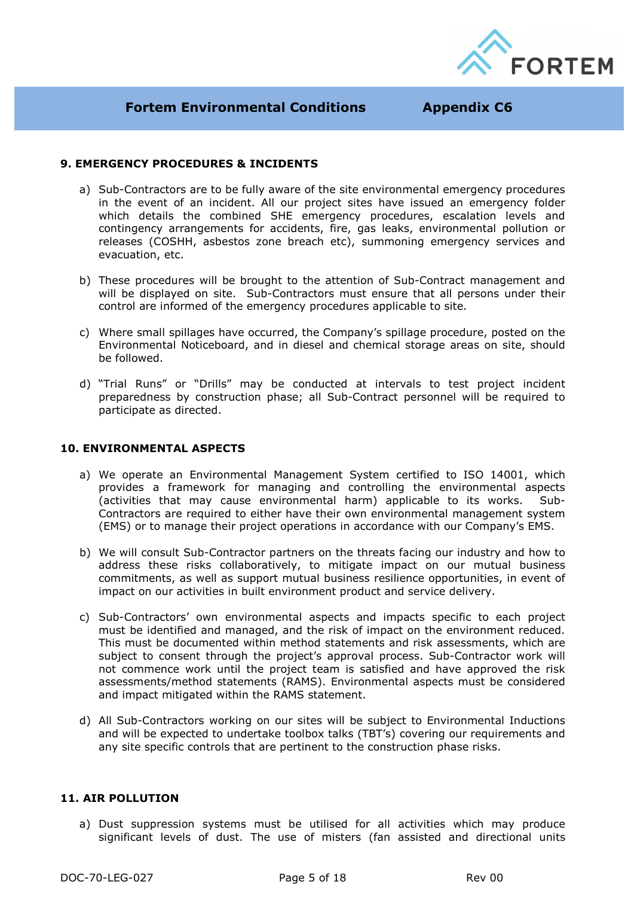

### **9. EMERGENCY PROCEDURES & INCIDENTS**

- a) Sub-Contractors are to be fully aware of the site environmental emergency procedures in the event of an incident. All our project sites have issued an emergency folder which details the combined SHE emergency procedures, escalation levels and contingency arrangements for accidents, fire, gas leaks, environmental pollution or releases (COSHH, asbestos zone breach etc), summoning emergency services and evacuation, etc.
- b) These procedures will be brought to the attention of Sub-Contract management and will be displayed on site. Sub-Contractors must ensure that all persons under their control are informed of the emergency procedures applicable to site.
- c) Where small spillages have occurred, the Company's spillage procedure, posted on the Environmental Noticeboard, and in diesel and chemical storage areas on site, should be followed.
- d) "Trial Runs" or "Drills" may be conducted at intervals to test project incident preparedness by construction phase; all Sub-Contract personnel will be required to participate as directed.

#### **10. ENVIRONMENTAL ASPECTS**

- a) We operate an Environmental Management System certified to ISO 14001, which provides a framework for managing and controlling the environmental aspects (activities that may cause environmental harm) applicable to its works. Sub-Contractors are required to either have their own environmental management system (EMS) or to manage their project operations in accordance with our Company's EMS.
- b) We will consult Sub-Contractor partners on the threats facing our industry and how to address these risks collaboratively, to mitigate impact on our mutual business commitments, as well as support mutual business resilience opportunities, in event of impact on our activities in built environment product and service delivery.
- c) Sub-Contractors' own environmental aspects and impacts specific to each project must be identified and managed, and the risk of impact on the environment reduced. This must be documented within method statements and risk assessments, which are subject to consent through the project's approval process. Sub-Contractor work will not commence work until the project team is satisfied and have approved the risk assessments/method statements (RAMS). Environmental aspects must be considered and impact mitigated within the RAMS statement.
- d) All Sub-Contractors working on our sites will be subject to Environmental Inductions and will be expected to undertake toolbox talks (TBT's) covering our requirements and any site specific controls that are pertinent to the construction phase risks.

#### **11. AIR POLLUTION**

a) Dust suppression systems must be utilised for all activities which may produce significant levels of dust. The use of misters (fan assisted and directional units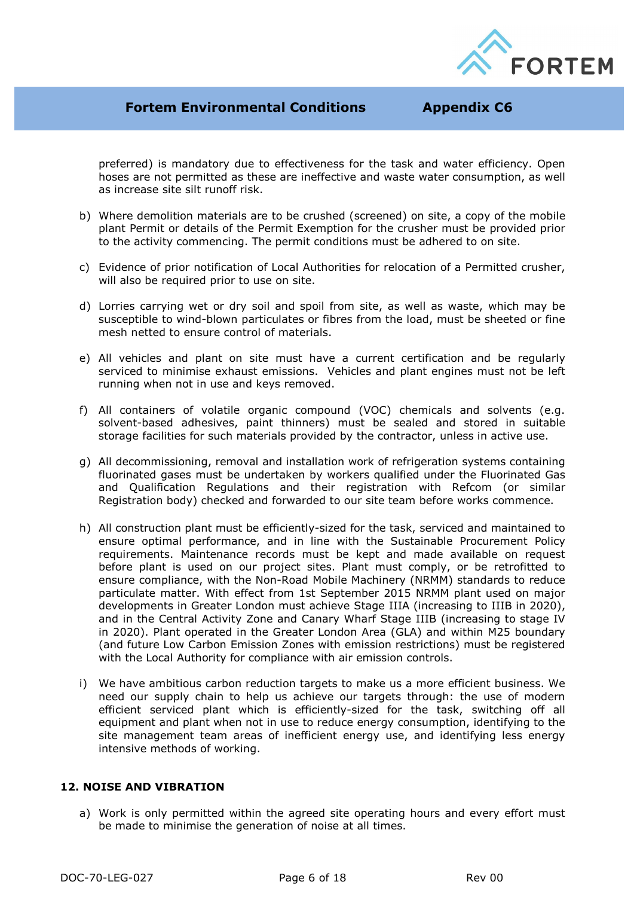

preferred) is mandatory due to effectiveness for the task and water efficiency. Open hoses are not permitted as these are ineffective and waste water consumption, as well as increase site silt runoff risk.

- b) Where demolition materials are to be crushed (screened) on site, a copy of the mobile plant Permit or details of the Permit Exemption for the crusher must be provided prior to the activity commencing. The permit conditions must be adhered to on site.
- c) Evidence of prior notification of Local Authorities for relocation of a Permitted crusher, will also be required prior to use on site.
- d) Lorries carrying wet or dry soil and spoil from site, as well as waste, which may be susceptible to wind-blown particulates or fibres from the load, must be sheeted or fine mesh netted to ensure control of materials.
- e) All vehicles and plant on site must have a current certification and be regularly serviced to minimise exhaust emissions. Vehicles and plant engines must not be left running when not in use and keys removed.
- f) All containers of volatile organic compound (VOC) chemicals and solvents (e.g. solvent-based adhesives, paint thinners) must be sealed and stored in suitable storage facilities for such materials provided by the contractor, unless in active use.
- g) All decommissioning, removal and installation work of refrigeration systems containing fluorinated gases must be undertaken by workers qualified under the Fluorinated Gas and Qualification Regulations and their registration with Refcom (or similar Registration body) checked and forwarded to our site team before works commence.
- h) All construction plant must be efficiently-sized for the task, serviced and maintained to ensure optimal performance, and in line with the Sustainable Procurement Policy requirements. Maintenance records must be kept and made available on request before plant is used on our project sites. Plant must comply, or be retrofitted to ensure compliance, with the Non-Road Mobile Machinery (NRMM) standards to reduce particulate matter. With effect from 1st September 2015 NRMM plant used on major developments in Greater London must achieve Stage IIIA (increasing to IIIB in 2020), and in the Central Activity Zone and Canary Wharf Stage IIIB (increasing to stage IV in 2020). Plant operated in the Greater London Area (GLA) and within M25 boundary (and future Low Carbon Emission Zones with emission restrictions) must be registered with the Local Authority for compliance with air emission controls.
- i) We have ambitious carbon reduction targets to make us a more efficient business. We need our supply chain to help us achieve our targets through: the use of modern efficient serviced plant which is efficiently-sized for the task, switching off all equipment and plant when not in use to reduce energy consumption, identifying to the site management team areas of inefficient energy use, and identifying less energy intensive methods of working.

#### **12. NOISE AND VIBRATION**

a) Work is only permitted within the agreed site operating hours and every effort must be made to minimise the generation of noise at all times.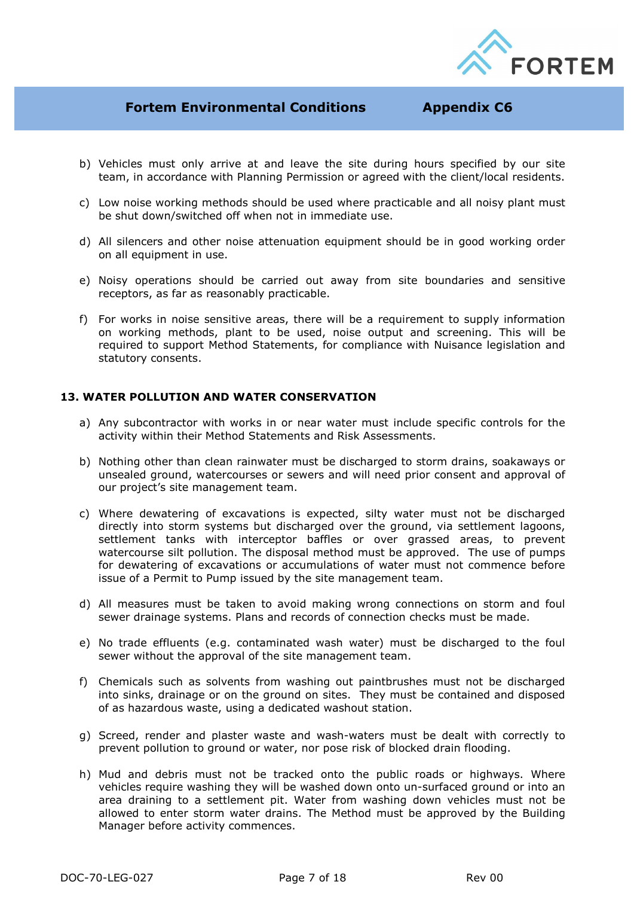

- b) Vehicles must only arrive at and leave the site during hours specified by our site team, in accordance with Planning Permission or agreed with the client/local residents.
- c) Low noise working methods should be used where practicable and all noisy plant must be shut down/switched off when not in immediate use.
- d) All silencers and other noise attenuation equipment should be in good working order on all equipment in use.
- e) Noisy operations should be carried out away from site boundaries and sensitive receptors, as far as reasonably practicable.
- f) For works in noise sensitive areas, there will be a requirement to supply information on working methods, plant to be used, noise output and screening. This will be required to support Method Statements, for compliance with Nuisance legislation and statutory consents.

#### **13. WATER POLLUTION AND WATER CONSERVATION**

- a) Any subcontractor with works in or near water must include specific controls for the activity within their Method Statements and Risk Assessments.
- b) Nothing other than clean rainwater must be discharged to storm drains, soakaways or unsealed ground, watercourses or sewers and will need prior consent and approval of our project's site management team.
- c) Where dewatering of excavations is expected, silty water must not be discharged directly into storm systems but discharged over the ground, via settlement lagoons, settlement tanks with interceptor baffles or over grassed areas, to prevent watercourse silt pollution. The disposal method must be approved. The use of pumps for dewatering of excavations or accumulations of water must not commence before issue of a Permit to Pump issued by the site management team.
- d) All measures must be taken to avoid making wrong connections on storm and foul sewer drainage systems. Plans and records of connection checks must be made.
- e) No trade effluents (e.g. contaminated wash water) must be discharged to the foul sewer without the approval of the site management team.
- f) Chemicals such as solvents from washing out paintbrushes must not be discharged into sinks, drainage or on the ground on sites. They must be contained and disposed of as hazardous waste, using a dedicated washout station.
- g) Screed, render and plaster waste and wash-waters must be dealt with correctly to prevent pollution to ground or water, nor pose risk of blocked drain flooding.
- h) Mud and debris must not be tracked onto the public roads or highways. Where vehicles require washing they will be washed down onto un-surfaced ground or into an area draining to a settlement pit. Water from washing down vehicles must not be allowed to enter storm water drains. The Method must be approved by the Building Manager before activity commences.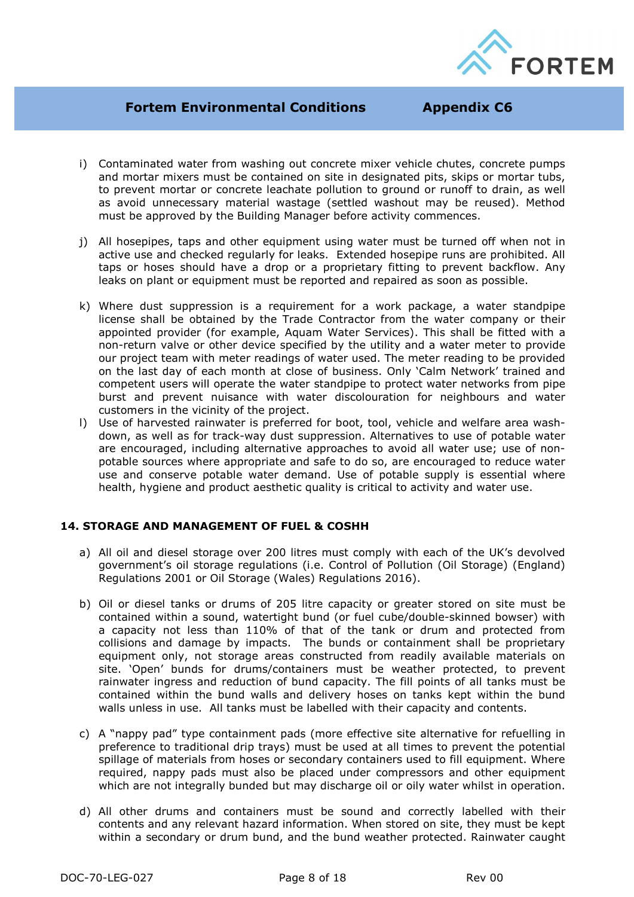

- i) Contaminated water from washing out concrete mixer vehicle chutes, concrete pumps and mortar mixers must be contained on site in designated pits, skips or mortar tubs, to prevent mortar or concrete leachate pollution to ground or runoff to drain, as well as avoid unnecessary material wastage (settled washout may be reused). Method must be approved by the Building Manager before activity commences.
- j) All hosepipes, taps and other equipment using water must be turned off when not in active use and checked regularly for leaks. Extended hosepipe runs are prohibited. All taps or hoses should have a drop or a proprietary fitting to prevent backflow. Any leaks on plant or equipment must be reported and repaired as soon as possible.
- k) Where dust suppression is a requirement for a work package, a water standpipe license shall be obtained by the Trade Contractor from the water company or their appointed provider (for example, Aquam Water Services). This shall be fitted with a non-return valve or other device specified by the utility and a water meter to provide our project team with meter readings of water used. The meter reading to be provided on the last day of each month at close of business. Only 'Calm Network' trained and competent users will operate the water standpipe to protect water networks from pipe burst and prevent nuisance with water discolouration for neighbours and water customers in the vicinity of the project.
- l) Use of harvested rainwater is preferred for boot, tool, vehicle and welfare area washdown, as well as for track-way dust suppression. Alternatives to use of potable water are encouraged, including alternative approaches to avoid all water use; use of nonpotable sources where appropriate and safe to do so, are encouraged to reduce water use and conserve potable water demand. Use of potable supply is essential where health, hygiene and product aesthetic quality is critical to activity and water use.

## **14. STORAGE AND MANAGEMENT OF FUEL & COSHH**

- a) All oil and diesel storage over 200 litres must comply with each of the UK's devolved government's oil storage regulations (i.e. Control of Pollution (Oil Storage) (England) Regulations 2001 or Oil Storage (Wales) Regulations 2016).
- b) Oil or diesel tanks or drums of 205 litre capacity or greater stored on site must be contained within a sound, watertight bund (or fuel cube/double-skinned bowser) with a capacity not less than 110% of that of the tank or drum and protected from collisions and damage by impacts. The bunds or containment shall be proprietary equipment only, not storage areas constructed from readily available materials on site. 'Open' bunds for drums/containers must be weather protected, to prevent rainwater ingress and reduction of bund capacity. The fill points of all tanks must be contained within the bund walls and delivery hoses on tanks kept within the bund walls unless in use. All tanks must be labelled with their capacity and contents.
- c) A "nappy pad" type containment pads (more effective site alternative for refuelling in preference to traditional drip trays) must be used at all times to prevent the potential spillage of materials from hoses or secondary containers used to fill equipment. Where required, nappy pads must also be placed under compressors and other equipment which are not integrally bunded but may discharge oil or oily water whilst in operation.
- d) All other drums and containers must be sound and correctly labelled with their contents and any relevant hazard information. When stored on site, they must be kept within a secondary or drum bund, and the bund weather protected. Rainwater caught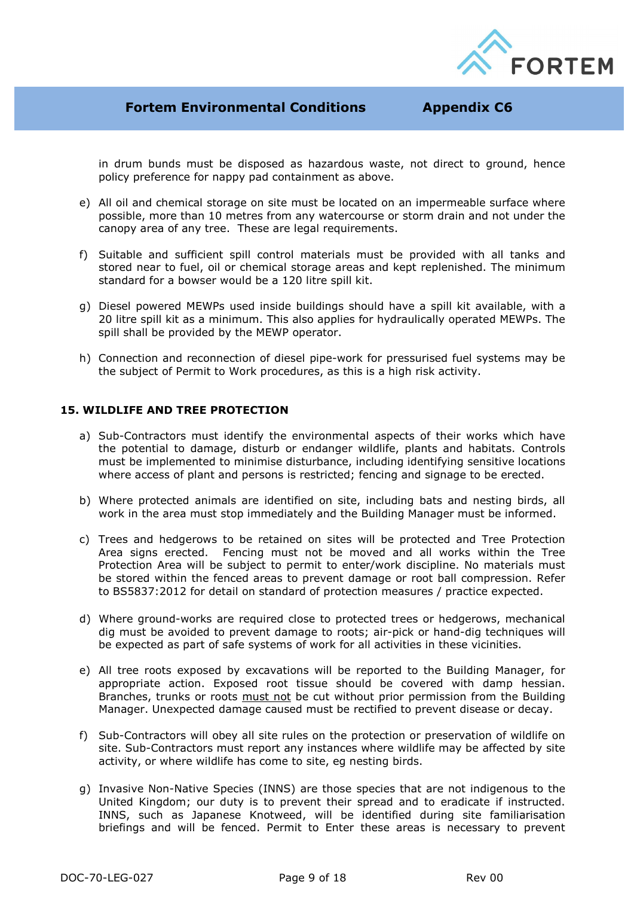

in drum bunds must be disposed as hazardous waste, not direct to ground, hence policy preference for nappy pad containment as above.

- e) All oil and chemical storage on site must be located on an impermeable surface where possible, more than 10 metres from any watercourse or storm drain and not under the canopy area of any tree. These are legal requirements.
- f) Suitable and sufficient spill control materials must be provided with all tanks and stored near to fuel, oil or chemical storage areas and kept replenished. The minimum standard for a bowser would be a 120 litre spill kit.
- g) Diesel powered MEWPs used inside buildings should have a spill kit available, with a 20 litre spill kit as a minimum. This also applies for hydraulically operated MEWPs. The spill shall be provided by the MEWP operator.
- h) Connection and reconnection of diesel pipe-work for pressurised fuel systems may be the subject of Permit to Work procedures, as this is a high risk activity.

#### **15. WILDLIFE AND TREE PROTECTION**

- a) Sub-Contractors must identify the environmental aspects of their works which have the potential to damage, disturb or endanger wildlife, plants and habitats. Controls must be implemented to minimise disturbance, including identifying sensitive locations where access of plant and persons is restricted; fencing and signage to be erected.
- b) Where protected animals are identified on site, including bats and nesting birds, all work in the area must stop immediately and the Building Manager must be informed.
- c) Trees and hedgerows to be retained on sites will be protected and Tree Protection Area signs erected. Fencing must not be moved and all works within the Tree Protection Area will be subject to permit to enter/work discipline. No materials must be stored within the fenced areas to prevent damage or root ball compression. Refer to BS5837:2012 for detail on standard of protection measures / practice expected.
- d) Where ground-works are required close to protected trees or hedgerows, mechanical dig must be avoided to prevent damage to roots; air-pick or hand-dig techniques will be expected as part of safe systems of work for all activities in these vicinities.
- e) All tree roots exposed by excavations will be reported to the Building Manager, for appropriate action. Exposed root tissue should be covered with damp hessian. Branches, trunks or roots must not be cut without prior permission from the Building Manager. Unexpected damage caused must be rectified to prevent disease or decay.
- f) Sub-Contractors will obey all site rules on the protection or preservation of wildlife on site. Sub-Contractors must report any instances where wildlife may be affected by site activity, or where wildlife has come to site, eg nesting birds.
- g) Invasive Non-Native Species (INNS) are those species that are not indigenous to the United Kingdom; our duty is to prevent their spread and to eradicate if instructed. INNS, such as Japanese Knotweed, will be identified during site familiarisation briefings and will be fenced. Permit to Enter these areas is necessary to prevent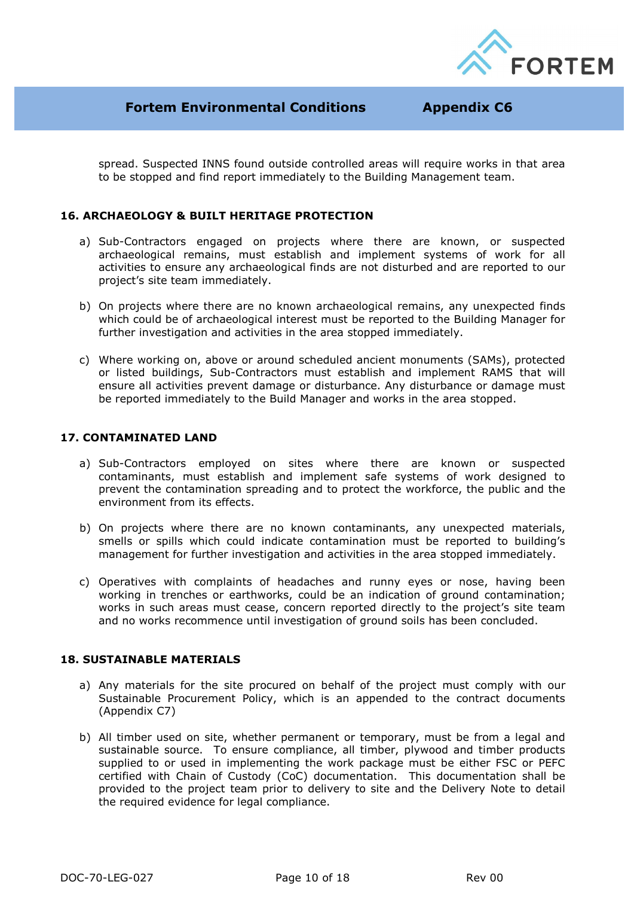

spread. Suspected INNS found outside controlled areas will require works in that area to be stopped and find report immediately to the Building Management team.

## **16. ARCHAEOLOGY & BUILT HERITAGE PROTECTION**

- a) Sub-Contractors engaged on projects where there are known, or suspected archaeological remains, must establish and implement systems of work for all activities to ensure any archaeological finds are not disturbed and are reported to our project's site team immediately.
- b) On projects where there are no known archaeological remains, any unexpected finds which could be of archaeological interest must be reported to the Building Manager for further investigation and activities in the area stopped immediately.
- c) Where working on, above or around scheduled ancient monuments (SAMs), protected or listed buildings, Sub-Contractors must establish and implement RAMS that will ensure all activities prevent damage or disturbance. Any disturbance or damage must be reported immediately to the Build Manager and works in the area stopped.

#### **17. CONTAMINATED LAND**

- a) Sub-Contractors employed on sites where there are known or suspected contaminants, must establish and implement safe systems of work designed to prevent the contamination spreading and to protect the workforce, the public and the environment from its effects.
- b) On projects where there are no known contaminants, any unexpected materials, smells or spills which could indicate contamination must be reported to building's management for further investigation and activities in the area stopped immediately.
- c) Operatives with complaints of headaches and runny eyes or nose, having been working in trenches or earthworks, could be an indication of ground contamination; works in such areas must cease, concern reported directly to the project's site team and no works recommence until investigation of ground soils has been concluded.

#### **18. SUSTAINABLE MATERIALS**

- a) Any materials for the site procured on behalf of the project must comply with our Sustainable Procurement Policy, which is an appended to the contract documents (Appendix C7)
- b) All timber used on site, whether permanent or temporary, must be from a legal and sustainable source. To ensure compliance, all timber, plywood and timber products supplied to or used in implementing the work package must be either FSC or PEFC certified with Chain of Custody (CoC) documentation. This documentation shall be provided to the project team prior to delivery to site and the Delivery Note to detail the required evidence for legal compliance.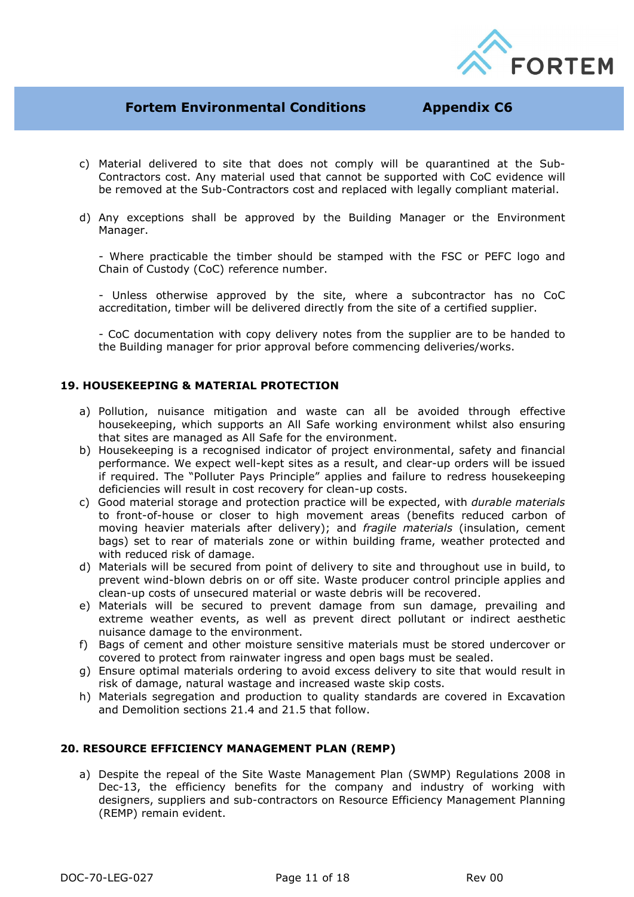

- c) Material delivered to site that does not comply will be quarantined at the Sub-Contractors cost. Any material used that cannot be supported with CoC evidence will be removed at the Sub-Contractors cost and replaced with legally compliant material.
- d) Any exceptions shall be approved by the Building Manager or the Environment Manager.

- Where practicable the timber should be stamped with the FSC or PEFC logo and Chain of Custody (CoC) reference number.

- Unless otherwise approved by the site, where a subcontractor has no CoC accreditation, timber will be delivered directly from the site of a certified supplier.

- CoC documentation with copy delivery notes from the supplier are to be handed to the Building manager for prior approval before commencing deliveries/works.

#### **19. HOUSEKEEPING & MATERIAL PROTECTION**

- a) Pollution, nuisance mitigation and waste can all be avoided through effective housekeeping, which supports an All Safe working environment whilst also ensuring that sites are managed as All Safe for the environment.
- b) Housekeeping is a recognised indicator of project environmental, safety and financial performance. We expect well-kept sites as a result, and clear-up orders will be issued if required. The "Polluter Pays Principle" applies and failure to redress housekeeping deficiencies will result in cost recovery for clean-up costs.
- c) Good material storage and protection practice will be expected, with *durable materials* to front-of-house or closer to high movement areas (benefits reduced carbon of moving heavier materials after delivery); and *fragile materials* (insulation, cement bags) set to rear of materials zone or within building frame, weather protected and with reduced risk of damage.
- d) Materials will be secured from point of delivery to site and throughout use in build, to prevent wind-blown debris on or off site. Waste producer control principle applies and clean-up costs of unsecured material or waste debris will be recovered.
- e) Materials will be secured to prevent damage from sun damage, prevailing and extreme weather events, as well as prevent direct pollutant or indirect aesthetic nuisance damage to the environment.
- f) Bags of cement and other moisture sensitive materials must be stored undercover or covered to protect from rainwater ingress and open bags must be sealed.
- g) Ensure optimal materials ordering to avoid excess delivery to site that would result in risk of damage, natural wastage and increased waste skip costs.
- h) Materials segregation and production to quality standards are covered in Excavation and Demolition sections 21.4 and 21.5 that follow.

#### **20. RESOURCE EFFICIENCY MANAGEMENT PLAN (REMP)**

a) Despite the repeal of the Site Waste Management Plan (SWMP) Regulations 2008 in Dec-13, the efficiency benefits for the company and industry of working with designers, suppliers and sub-contractors on Resource Efficiency Management Planning (REMP) remain evident.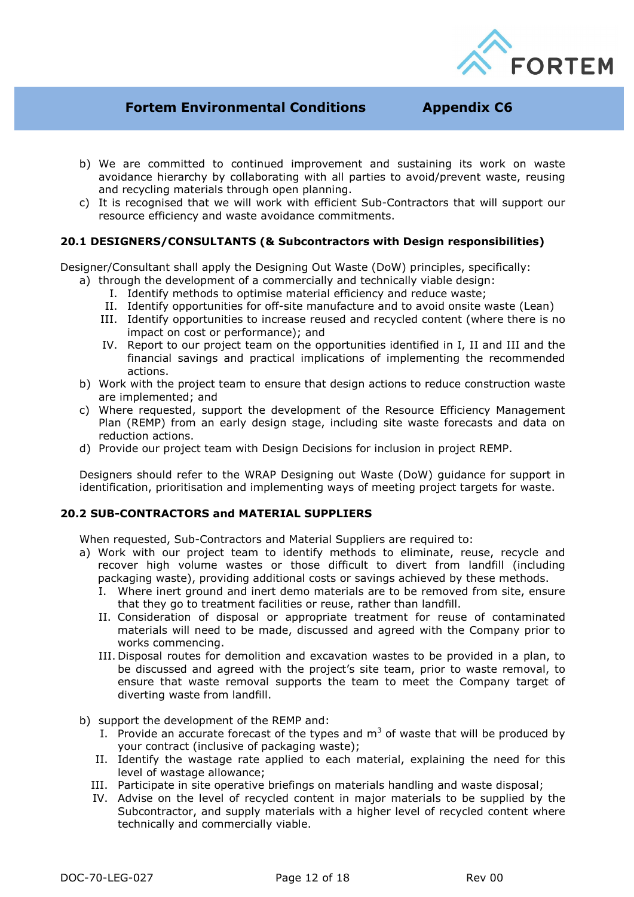

- b) We are committed to continued improvement and sustaining its work on waste avoidance hierarchy by collaborating with all parties to avoid/prevent waste, reusing and recycling materials through open planning.
- c) It is recognised that we will work with efficient Sub-Contractors that will support our resource efficiency and waste avoidance commitments.

### **20.1 DESIGNERS/CONSULTANTS (& Subcontractors with Design responsibilities)**

Designer/Consultant shall apply the Designing Out Waste (DoW) principles, specifically:

- a) through the development of a commercially and technically viable design:
	- I. Identify methods to optimise material efficiency and reduce waste;
	- II. Identify opportunities for off-site manufacture and to avoid onsite waste (Lean)
	- III. Identify opportunities to increase reused and recycled content (where there is no impact on cost or performance); and
	- IV. Report to our project team on the opportunities identified in I, II and III and the financial savings and practical implications of implementing the recommended actions.
- b) Work with the project team to ensure that design actions to reduce construction waste are implemented; and
- c) Where requested, support the development of the Resource Efficiency Management Plan (REMP) from an early design stage, including site waste forecasts and data on reduction actions.
- d) Provide our project team with Design Decisions for inclusion in project REMP.

Designers should refer to the WRAP Designing out Waste (DoW) guidance for support in identification, prioritisation and implementing ways of meeting project targets for waste.

#### **20.2 SUB-CONTRACTORS and MATERIAL SUPPLIERS**

When requested, Sub-Contractors and Material Suppliers are required to:

- a) Work with our project team to identify methods to eliminate, reuse, recycle and recover high volume wastes or those difficult to divert from landfill (including packaging waste), providing additional costs or savings achieved by these methods.
	- I. Where inert ground and inert demo materials are to be removed from site, ensure that they go to treatment facilities or reuse, rather than landfill.
	- II. Consideration of disposal or appropriate treatment for reuse of contaminated materials will need to be made, discussed and agreed with the Company prior to works commencing.
	- III. Disposal routes for demolition and excavation wastes to be provided in a plan, to be discussed and agreed with the project's site team, prior to waste removal, to ensure that waste removal supports the team to meet the Company target of diverting waste from landfill.
- b) support the development of the REMP and:
	- I. Provide an accurate forecast of the types and  $m<sup>3</sup>$  of waste that will be produced by your contract (inclusive of packaging waste);
	- II. Identify the wastage rate applied to each material, explaining the need for this level of wastage allowance;
	- III. Participate in site operative briefings on materials handling and waste disposal;
	- IV. Advise on the level of recycled content in major materials to be supplied by the Subcontractor, and supply materials with a higher level of recycled content where technically and commercially viable.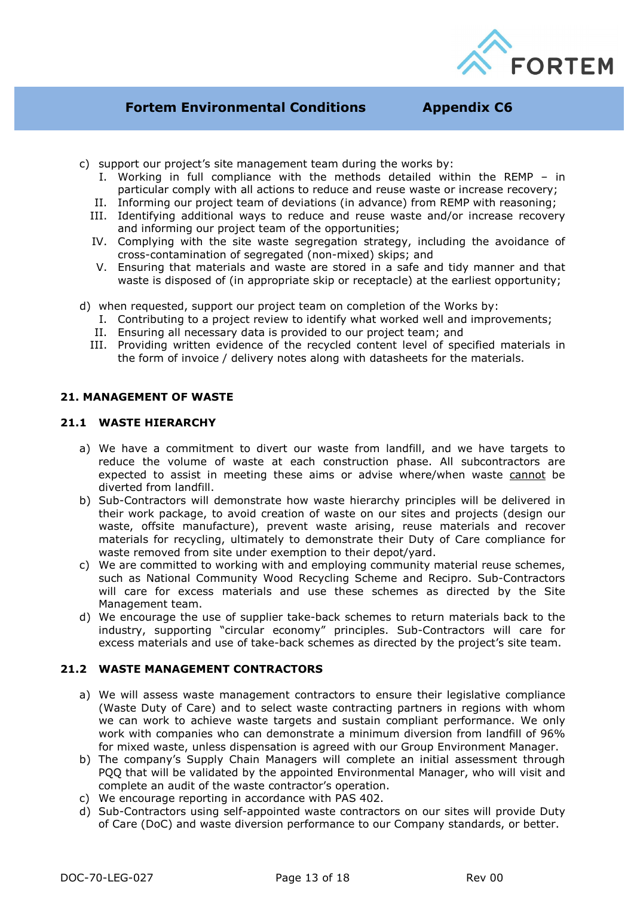

- c) support our project's site management team during the works by:
	- I. Working in full compliance with the methods detailed within the REMP in particular comply with all actions to reduce and reuse waste or increase recovery;
	- II. Informing our project team of deviations (in advance) from REMP with reasoning;
	- III. Identifying additional ways to reduce and reuse waste and/or increase recovery and informing our project team of the opportunities;
	- IV. Complying with the site waste segregation strategy, including the avoidance of cross-contamination of segregated (non-mixed) skips; and
	- V. Ensuring that materials and waste are stored in a safe and tidy manner and that waste is disposed of (in appropriate skip or receptacle) at the earliest opportunity;
- d) when requested, support our project team on completion of the Works by:
	- I. Contributing to a project review to identify what worked well and improvements;
	- II. Ensuring all necessary data is provided to our project team; and
	- III. Providing written evidence of the recycled content level of specified materials in the form of invoice / delivery notes along with datasheets for the materials.

#### **21. MANAGEMENT OF WASTE**

#### **21.1 WASTE HIERARCHY**

- a) We have a commitment to divert our waste from landfill, and we have targets to reduce the volume of waste at each construction phase. All subcontractors are expected to assist in meeting these aims or advise where/when waste cannot be diverted from landfill.
- b) Sub-Contractors will demonstrate how waste hierarchy principles will be delivered in their work package, to avoid creation of waste on our sites and projects (design our waste, offsite manufacture), prevent waste arising, reuse materials and recover materials for recycling, ultimately to demonstrate their Duty of Care compliance for waste removed from site under exemption to their depot/yard.
- c) We are committed to working with and employing community material reuse schemes, such as National Community Wood Recycling Scheme and Recipro. Sub-Contractors will care for excess materials and use these schemes as directed by the Site Management team.
- d) We encourage the use of supplier take-back schemes to return materials back to the industry, supporting "circular economy" principles. Sub-Contractors will care for excess materials and use of take-back schemes as directed by the project's site team.

#### **21.2 WASTE MANAGEMENT CONTRACTORS**

- a) We will assess waste management contractors to ensure their legislative compliance (Waste Duty of Care) and to select waste contracting partners in regions with whom we can work to achieve waste targets and sustain compliant performance. We only work with companies who can demonstrate a minimum diversion from landfill of 96% for mixed waste, unless dispensation is agreed with our Group Environment Manager.
- b) The company's Supply Chain Managers will complete an initial assessment through PQQ that will be validated by the appointed Environmental Manager, who will visit and complete an audit of the waste contractor's operation.
- c) We encourage reporting in accordance with PAS 402.
- d) Sub-Contractors using self-appointed waste contractors on our sites will provide Duty of Care (DoC) and waste diversion performance to our Company standards, or better.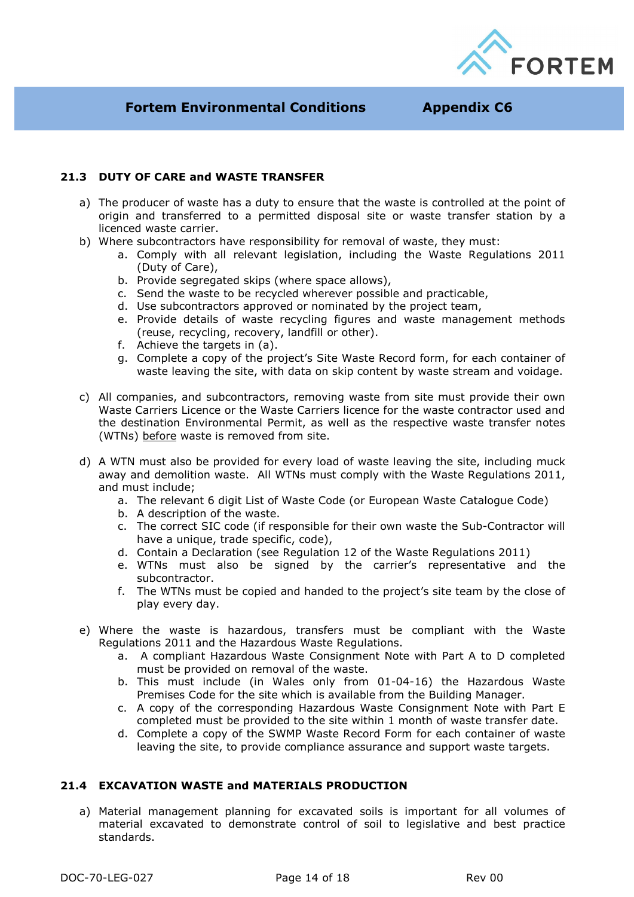

## **21.3 DUTY OF CARE and WASTE TRANSFER**

- a) The producer of waste has a duty to ensure that the waste is controlled at the point of origin and transferred to a permitted disposal site or waste transfer station by a licenced waste carrier.
- b) Where subcontractors have responsibility for removal of waste, they must:
	- a. Comply with all relevant legislation, including the Waste Regulations 2011 (Duty of Care),
	- b. Provide segregated skips (where space allows),
	- c. Send the waste to be recycled wherever possible and practicable,
	- d. Use subcontractors approved or nominated by the project team,
	- e. Provide details of waste recycling figures and waste management methods (reuse, recycling, recovery, landfill or other).
	- f. Achieve the targets in (a).
	- g. Complete a copy of the project's Site Waste Record form, for each container of waste leaving the site, with data on skip content by waste stream and voidage.
- c) All companies, and subcontractors, removing waste from site must provide their own Waste Carriers Licence or the Waste Carriers licence for the waste contractor used and the destination Environmental Permit, as well as the respective waste transfer notes (WTNs) before waste is removed from site.
- d) A WTN must also be provided for every load of waste leaving the site, including muck away and demolition waste. All WTNs must comply with the Waste Regulations 2011, and must include;
	- a. The relevant 6 digit List of Waste Code (or European Waste Catalogue Code)
	- b. A description of the waste.
	- c. The correct SIC code (if responsible for their own waste the Sub-Contractor will have a unique, trade specific, code),
	- d. Contain a Declaration (see Regulation 12 of the Waste Regulations 2011)
	- e. WTNs must also be signed by the carrier's representative and the subcontractor.
	- f. The WTNs must be copied and handed to the project's site team by the close of play every day.
- e) Where the waste is hazardous, transfers must be compliant with the Waste Regulations 2011 and the Hazardous Waste Regulations.
	- a. A compliant Hazardous Waste Consignment Note with Part A to D completed must be provided on removal of the waste.
	- b. This must include (in Wales only from 01-04-16) the Hazardous Waste Premises Code for the site which is available from the Building Manager.
	- c. A copy of the corresponding Hazardous Waste Consignment Note with Part E completed must be provided to the site within 1 month of waste transfer date.
	- d. Complete a copy of the SWMP Waste Record Form for each container of waste leaving the site, to provide compliance assurance and support waste targets.

## **21.4 EXCAVATION WASTE and MATERIALS PRODUCTION**

a) Material management planning for excavated soils is important for all volumes of material excavated to demonstrate control of soil to legislative and best practice standards.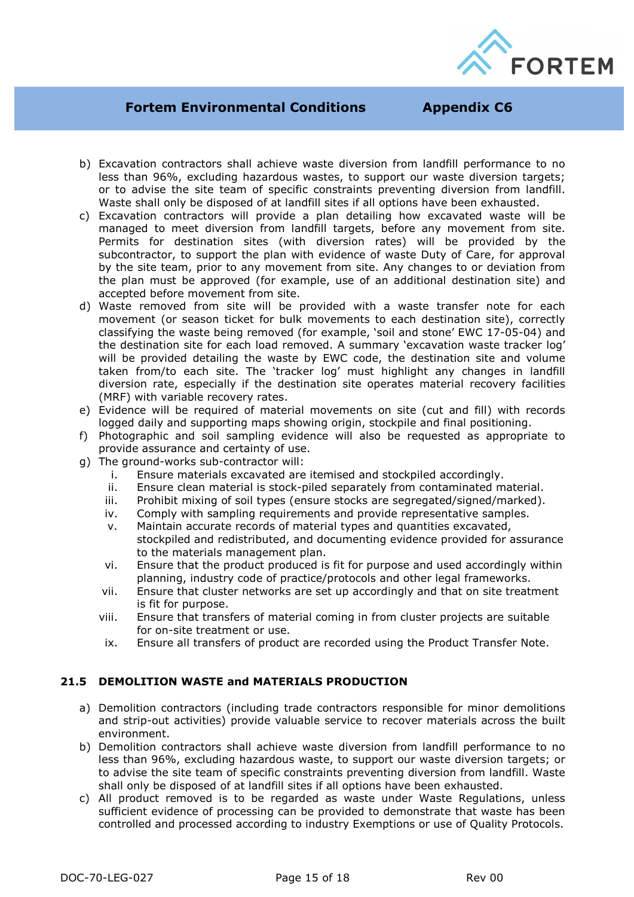

- b) Excavation contractors shall achieve waste diversion from landfill performance to no less than 96%, excluding hazardous wastes, to support our waste diversion targets; or to advise the site team of specific constraints preventing diversion from landfill. Waste shall only be disposed of at landfill sites if all options have been exhausted.
- c) Excavation contractors will provide a plan detailing how excavated waste will be managed to meet diversion from landfill targets, before any movement from site. Permits for destination sites (with diversion rates) will be provided by the subcontractor, to support the plan with evidence of waste Duty of Care, for approval by the site team, prior to any movement from site. Any changes to or deviation from the plan must be approved (for example, use of an additional destination site) and accepted before movement from site.
- d) Waste removed from site will be provided with a waste transfer note for each movement (or season ticket for bulk movements to each destination site), correctly classifying the waste being removed (for example, 'soil and stone' EWC 17-05-04) and the destination site for each load removed. A summary 'excavation waste tracker log' will be provided detailing the waste by EWC code, the destination site and volume taken from/to each site. The 'tracker log' must highlight any changes in landfill diversion rate, especially if the destination site operates material recovery facilities (MRF) with variable recovery rates.
- e) Evidence will be required of material movements on site (cut and fill) with records logged daily and supporting maps showing origin, stockpile and final positioning.
- f) Photographic and soil sampling evidence will also be requested as appropriate to provide assurance and certainty of use.
- g) The ground-works sub-contractor will:
	- i. Ensure materials excavated are itemised and stockpiled accordingly.
	- ii. Ensure clean material is stock-piled separately from contaminated material.
	- iii. Prohibit mixing of soil types (ensure stocks are segregated/signed/marked).
	- iv. Comply with sampling requirements and provide representative samples.
	- v. Maintain accurate records of material types and quantities excavated, stockpiled and redistributed, and documenting evidence provided for assurance to the materials management plan.
	- vi. Ensure that the product produced is fit for purpose and used accordingly within planning, industry code of practice/protocols and other legal frameworks.
	- vii. Ensure that cluster networks are set up accordingly and that on site treatment is fit for purpose.
	- viii. Ensure that transfers of material coming in from cluster projects are suitable for on-site treatment or use.
	- ix. Ensure all transfers of product are recorded using the Product Transfer Note.

## **21.5 DEMOLITION WASTE and MATERIALS PRODUCTION**

- a) Demolition contractors (including trade contractors responsible for minor demolitions and strip-out activities) provide valuable service to recover materials across the built environment.
- b) Demolition contractors shall achieve waste diversion from landfill performance to no less than 96%, excluding hazardous waste, to support our waste diversion targets; or to advise the site team of specific constraints preventing diversion from landfill. Waste shall only be disposed of at landfill sites if all options have been exhausted.
- c) All product removed is to be regarded as waste under Waste Regulations, unless sufficient evidence of processing can be provided to demonstrate that waste has been controlled and processed according to industry Exemptions or use of Quality Protocols.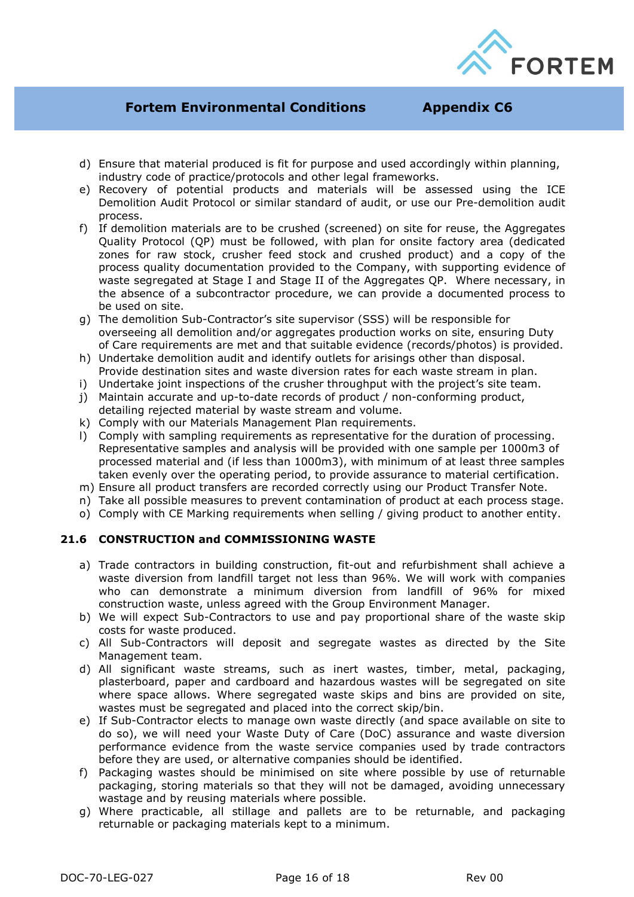

- d) Ensure that material produced is fit for purpose and used accordingly within planning, industry code of practice/protocols and other legal frameworks.
- e) Recovery of potential products and materials will be assessed using the ICE Demolition Audit Protocol or similar standard of audit, or use our Pre-demolition audit process.
- f) If demolition materials are to be crushed (screened) on site for reuse, the Aggregates Quality Protocol (QP) must be followed, with plan for onsite factory area (dedicated zones for raw stock, crusher feed stock and crushed product) and a copy of the process quality documentation provided to the Company, with supporting evidence of waste segregated at Stage I and Stage II of the Aggregates QP. Where necessary, in the absence of a subcontractor procedure, we can provide a documented process to be used on site.
- g) The demolition Sub-Contractor's site supervisor (SSS) will be responsible for overseeing all demolition and/or aggregates production works on site, ensuring Duty of Care requirements are met and that suitable evidence (records/photos) is provided.
- h) Undertake demolition audit and identify outlets for arisings other than disposal. Provide destination sites and waste diversion rates for each waste stream in plan.
- i) Undertake joint inspections of the crusher throughput with the project's site team.
- j) Maintain accurate and up-to-date records of product / non-conforming product, detailing rejected material by waste stream and volume.
- k) Comply with our Materials Management Plan requirements.
- l) Comply with sampling requirements as representative for the duration of processing. Representative samples and analysis will be provided with one sample per 1000m3 of processed material and (if less than 1000m3), with minimum of at least three samples taken evenly over the operating period, to provide assurance to material certification.
- m) Ensure all product transfers are recorded correctly using our Product Transfer Note.
- n) Take all possible measures to prevent contamination of product at each process stage.
- o) Comply with CE Marking requirements when selling / giving product to another entity.

## **21.6 CONSTRUCTION and COMMISSIONING WASTE**

- a) Trade contractors in building construction, fit-out and refurbishment shall achieve a waste diversion from landfill target not less than 96%. We will work with companies who can demonstrate a minimum diversion from landfill of 96% for mixed construction waste, unless agreed with the Group Environment Manager.
- b) We will expect Sub-Contractors to use and pay proportional share of the waste skip costs for waste produced.
- c) All Sub-Contractors will deposit and segregate wastes as directed by the Site Management team.
- d) All significant waste streams, such as inert wastes, timber, metal, packaging, plasterboard, paper and cardboard and hazardous wastes will be segregated on site where space allows. Where segregated waste skips and bins are provided on site, wastes must be segregated and placed into the correct skip/bin.
- e) If Sub-Contractor elects to manage own waste directly (and space available on site to do so), we will need your Waste Duty of Care (DoC) assurance and waste diversion performance evidence from the waste service companies used by trade contractors before they are used, or alternative companies should be identified.
- f) Packaging wastes should be minimised on site where possible by use of returnable packaging, storing materials so that they will not be damaged, avoiding unnecessary wastage and by reusing materials where possible.
- g) Where practicable, all stillage and pallets are to be returnable, and packaging returnable or packaging materials kept to a minimum.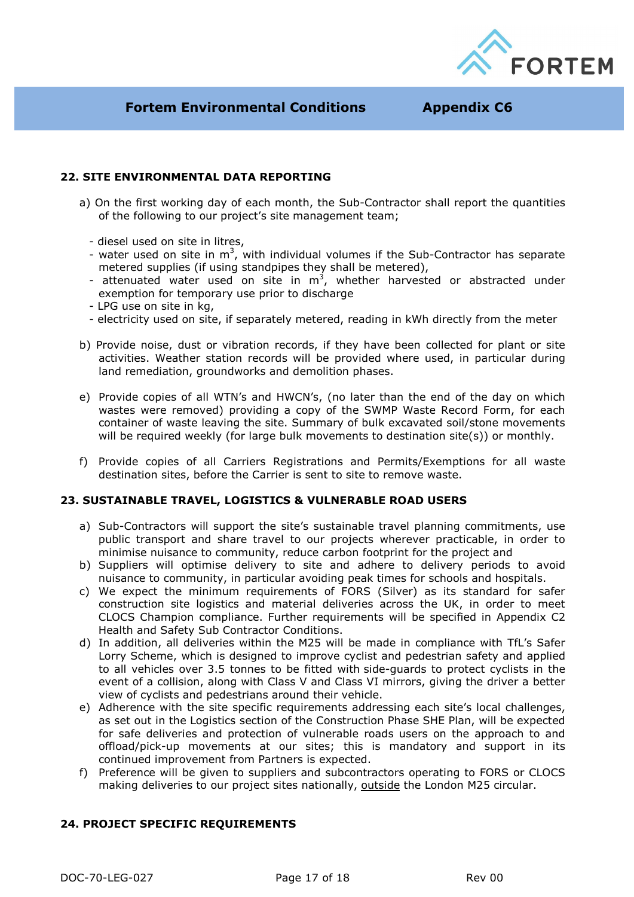

## **22. SITE ENVIRONMENTAL DATA REPORTING**

- a) On the first working day of each month, the Sub-Contractor shall report the quantities of the following to our project's site management team;
	- diesel used on site in litres,
	- water used on site in  $m^3$ , with individual volumes if the Sub-Contractor has separate metered supplies (if using standpipes they shall be metered),
	- attenuated water used on site in  $m<sup>3</sup>$ , whether harvested or abstracted under exemption for temporary use prior to discharge
	- LPG use on site in kg,
	- electricity used on site, if separately metered, reading in kWh directly from the meter
- b) Provide noise, dust or vibration records, if they have been collected for plant or site activities. Weather station records will be provided where used, in particular during land remediation, groundworks and demolition phases.
- e) Provide copies of all WTN's and HWCN's, (no later than the end of the day on which wastes were removed) providing a copy of the SWMP Waste Record Form, for each container of waste leaving the site. Summary of bulk excavated soil/stone movements will be required weekly (for large bulk movements to destination site(s)) or monthly.
- f) Provide copies of all Carriers Registrations and Permits/Exemptions for all waste destination sites, before the Carrier is sent to site to remove waste.

#### **23. SUSTAINABLE TRAVEL, LOGISTICS & VULNERABLE ROAD USERS**

- a) Sub-Contractors will support the site's sustainable travel planning commitments, use public transport and share travel to our projects wherever practicable, in order to minimise nuisance to community, reduce carbon footprint for the project and
- b) Suppliers will optimise delivery to site and adhere to delivery periods to avoid nuisance to community, in particular avoiding peak times for schools and hospitals.
- c) We expect the minimum requirements of FORS (Silver) as its standard for safer construction site logistics and material deliveries across the UK, in order to meet CLOCS Champion compliance. Further requirements will be specified in Appendix C2 Health and Safety Sub Contractor Conditions.
- d) In addition, all deliveries within the M25 will be made in compliance with TfL's Safer Lorry Scheme, which is designed to improve cyclist and pedestrian safety and applied to all vehicles over 3.5 tonnes to be fitted with side-guards to protect cyclists in the event of a collision, along with Class V and Class VI mirrors, giving the driver a better view of cyclists and pedestrians around their vehicle.
- e) Adherence with the site specific requirements addressing each site's local challenges, as set out in the Logistics section of the Construction Phase SHE Plan, will be expected for safe deliveries and protection of vulnerable roads users on the approach to and offload/pick-up movements at our sites; this is mandatory and support in its continued improvement from Partners is expected.
- f) Preference will be given to suppliers and subcontractors operating to FORS or CLOCS making deliveries to our project sites nationally, outside the London M25 circular.

#### **24. PROJECT SPECIFIC REQUIREMENTS**